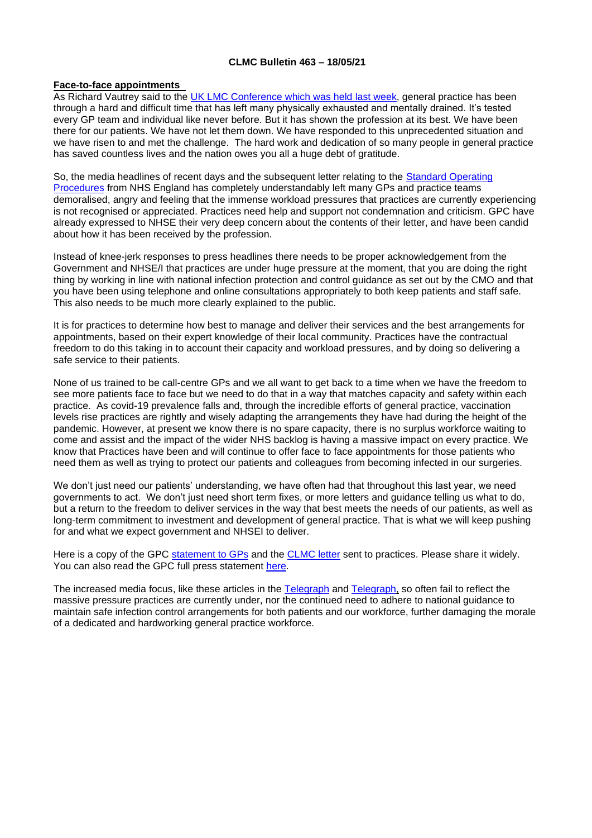## **CLMC Bulletin 463 – 18/05/21**

## **Face-to-face appointments**

As Richard Vautrey said to the [UK LMC Conference which was held last](https://www.bma.org.uk/bma-media-centre/general-practice-needs-real-and-meaningful-support-during-covid-recovery-says-uk-gp-leader) week, general practice has been through a hard and difficult time that has left many physically exhausted and mentally drained. It's tested every GP team and individual like never before. But it has shown the profession at its best. We have been there for our patients. We have not let them down. We have responded to this unprecedented situation and we have risen to and met the challenge. The hard work and dedication of so many people in general practice has saved countless lives and the nation owes you all a huge debt of gratitude.

So, the media headlines of recent days and the subsequent letter relating to the [Standard Operating](https://www.england.nhs.uk/coronavirus/wp-content/uploads/sites/52/2020/03/B0497-GP-access-letter-May-2021-FINAL.pdf)  [Procedures](https://www.england.nhs.uk/coronavirus/wp-content/uploads/sites/52/2020/03/B0497-GP-access-letter-May-2021-FINAL.pdf) from NHS England has completely understandably left many GPs and practice teams demoralised, angry and feeling that the immense workload pressures that practices are currently experiencing is not recognised or appreciated. Practices need help and support not condemnation and criticism. GPC have already expressed to NHSE their very deep concern about the contents of their letter, and have been candid about how it has been received by the profession.

Instead of knee-jerk responses to press headlines there needs to be proper acknowledgement from the Government and NHSE/I that practices are under huge pressure at the moment, that you are doing the right thing by working in line with national infection protection and control guidance as set out by the CMO and that you have been using telephone and online consultations appropriately to both keep patients and staff safe. This also needs to be much more clearly explained to the public.

It is for practices to determine how best to manage and deliver their services and the best arrangements for appointments, based on their expert knowledge of their local community. Practices have the contractual freedom to do this taking in to account their capacity and workload pressures, and by doing so delivering a safe service to their patients.

None of us trained to be call-centre GPs and we all want to get back to a time when we have the freedom to see more patients face to face but we need to do that in a way that matches capacity and safety within each practice. As covid-19 prevalence falls and, through the incredible efforts of general practice, vaccination levels rise practices are rightly and wisely adapting the arrangements they have had during the height of the pandemic. However, at present we know there is no spare capacity, there is no surplus workforce waiting to come and assist and the impact of the wider NHS backlog is having a massive impact on every practice. We know that Practices have been and will continue to offer face to face appointments for those patients who need them as well as trying to protect our patients and colleagues from becoming infected in our surgeries.

We don't just need our patients' understanding, we have often had that throughout this last year, we need governments to act. We don't just need short term fixes, or more letters and guidance telling us what to do, but a return to the freedom to deliver services in the way that best meets the needs of our patients, as well as long-term commitment to investment and development of general practice. That is what we will keep pushing for and what we expect government and NHSEI to deliver.

Here is a copy of the GPC [statement to GPs](https://bma-mail.org.uk/t/JVX-7DEEO-EC5E0CEA0D8A5317JCJOU4BA186991484320BE/cr.aspx) and the [CLMC letter](https://www.clevelandlmc.org.uk/website/IGP367/files/CLMC.doc) sent to practices. Please share it widely. You can also read the GPC full press statement [here.](https://www.bma.org.uk/bma-media-centre/gps-let-down-by-tone-deaf-nhs-england-letter-on-face-to-face-appointments-says-bma)

The increased media focus, like these articles in the [Telegraph](https://www.telegraph.co.uk/news/2021/05/12/exclusive-gps-told-stop-seeing-patients-face-to-face/) and [Telegraph,](https://www.telegraph.co.uk/news/2021/05/13/every-patient-have-right-see-gp-nhs-abandons-total-triage/) so often fail to reflect the massive pressure practices are currently under, nor the continued need to adhere to national guidance to maintain safe infection control arrangements for both patients and our workforce, further damaging the morale of a dedicated and hardworking general practice workforce.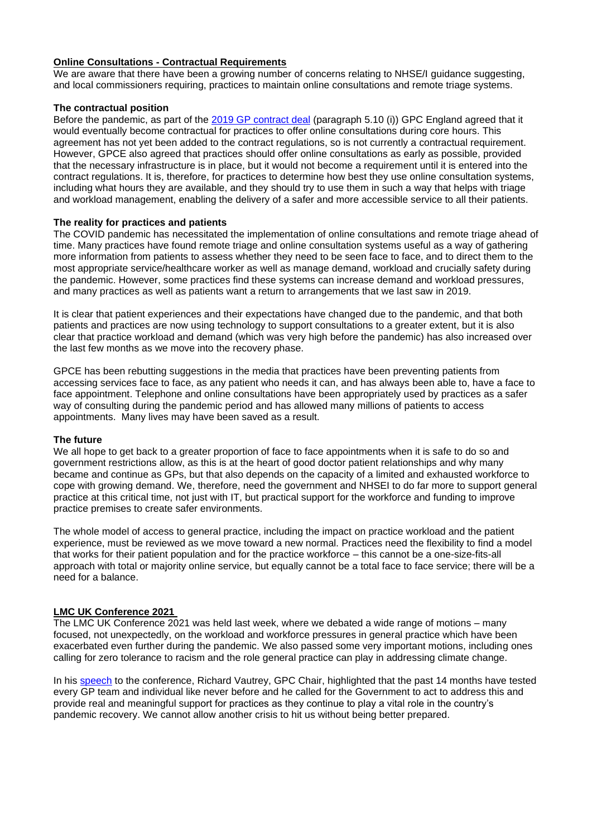# **Online Consultations - Contractual Requirements**

We are aware that there have been a growing number of concerns relating to NHSE/I guidance suggesting. and local commissioners requiring, practices to maintain online consultations and remote triage systems.

## **The contractual position**

Before the pandemic, as part of the [2019 GP contract deal](https://www.england.nhs.uk/publication/gp-contract-five-year-framework/) (paragraph 5.10 (i)) GPC England agreed that it would eventually become contractual for practices to offer online consultations during core hours. This agreement has not yet been added to the contract regulations, so is not currently a contractual requirement. However, GPCE also agreed that practices should offer online consultations as early as possible, provided that the necessary infrastructure is in place, but it would not become a requirement until it is entered into the contract regulations. It is, therefore, for practices to determine how best they use online consultation systems, including what hours they are available, and they should try to use them in such a way that helps with triage and workload management, enabling the delivery of a safer and more accessible service to all their patients.

## **The reality for practices and patients**

The COVID pandemic has necessitated the implementation of online consultations and remote triage ahead of time. Many practices have found remote triage and online consultation systems useful as a way of gathering more information from patients to assess whether they need to be seen face to face, and to direct them to the most appropriate service/healthcare worker as well as manage demand, workload and crucially safety during the pandemic. However, some practices find these systems can increase demand and workload pressures, and many practices as well as patients want a return to arrangements that we last saw in 2019.

It is clear that patient experiences and their expectations have changed due to the pandemic, and that both patients and practices are now using technology to support consultations to a greater extent, but it is also clear that practice workload and demand (which was very high before the pandemic) has also increased over the last few months as we move into the recovery phase.

GPCE has been rebutting suggestions in the media that practices have been preventing patients from accessing services face to face, as any patient who needs it can, and has always been able to, have a face to face appointment. Telephone and online consultations have been appropriately used by practices as a safer way of consulting during the pandemic period and has allowed many millions of patients to access appointments. Many lives may have been saved as a result.

### **The future**

We all hope to get back to a greater proportion of face to face appointments when it is safe to do so and government restrictions allow, as this is at the heart of good doctor patient relationships and why many became and continue as GPs, but that also depends on the capacity of a limited and exhausted workforce to cope with growing demand. We, therefore, need the government and NHSEI to do far more to support general practice at this critical time, not just with IT, but practical support for the workforce and funding to improve practice premises to create safer environments.

The whole model of access to general practice, including the impact on practice workload and the patient experience, must be reviewed as we move toward a new normal. Practices need the flexibility to find a model that works for their patient population and for the practice workforce – this cannot be a one-size-fits-all approach with total or majority online service, but equally cannot be a total face to face service; there will be a need for a balance.

# **LMC UK Conference 2021**

The LMC UK Conference 2021 was held last week, where we debated a wide range of motions – many focused, not unexpectedly, on the workload and workforce pressures in general practice which have been exacerbated even further during the pandemic. We also passed some very important motions, including ones calling for zero tolerance to racism and the role general practice can play in addressing climate change.

In his [speech](https://www.bma.org.uk/bma-media-centre/general-practice-needs-real-and-meaningful-support-during-covid-recovery-says-uk-gp-leader) to the conference, Richard Vautrey, GPC Chair, highlighted that the past 14 months have tested every GP team and individual like never before and he called for the Government to act to address this and provide real and meaningful support for practices as they continue to play a vital role in the country's pandemic recovery. We cannot allow another crisis to hit us without being better prepared.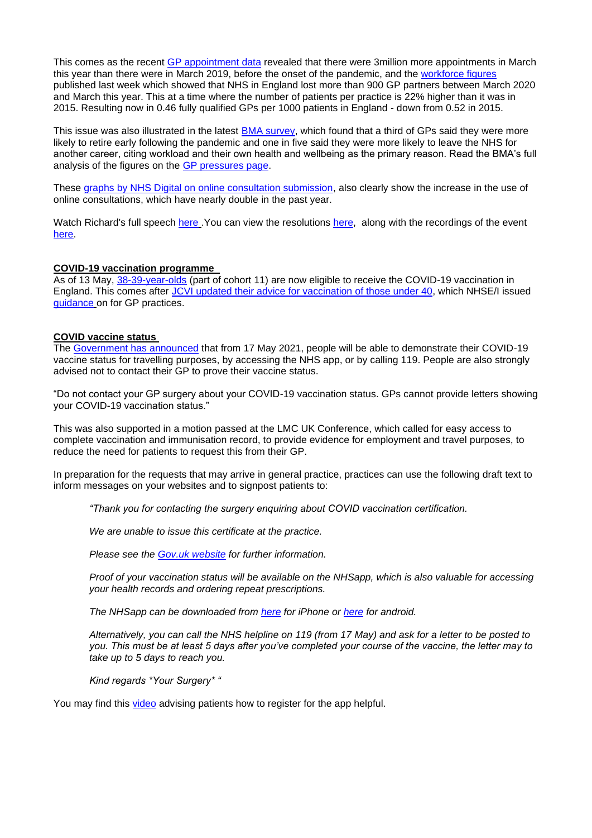This comes as the recent [GP appointment data](https://digital.nhs.uk/data-and-information/publications/statistical/appointments-in-general-practice/march-2021) revealed that there were 3million more appointments in March this year than there were in March 2019, before the onset of the pandemic, and the [workforce figures](https://digital.nhs.uk/data-and-information/publications/statistical/general-and-personal-medical-services/31-march-2021) published last week which showed that NHS in England lost more than 900 GP partners between March 2020 and March this year. This at a time where the number of patients per practice is 22% higher than it was in 2015. Resulting now in 0.46 fully qualified GPs per 1000 patients in England - down from 0.52 in 2015.

This issue was also illustrated in the latest [BMA survey,](https://www.bma.org.uk/media/4058/bma-survey-april-2021-primary-care-setting-snapshot.pdf) which found that a third of GPs said they were more likely to retire early following the pandemic and one in five said they were more likely to leave the NHS for another career, citing workload and their own health and wellbeing as the primary reason. Read the BMA's full analysis of the figures on the [GP pressures page.](https://www.bma.org.uk/advice-and-support/nhs-delivery-and-workforce/pressures/pressures-in-general-practice)

These [graphs by NHS Digital on online consultation submission,](https://www.clevelandlmc.org.uk/website/IGP367/files/Online%20and%20Video%20Consultation%20Analysis.pdf) also clearly show the increase in the use of online consultations, which have nearly double in the past year.

Watch Richard's full speech [here](https://www.youtube.com/watch?v=ORGY9JkKwKw) .You can view the resolutions [here,](https://www.bma.org.uk/media/4110/uk-lmc-conference-news-may-2021.pdf) along with the recordings of the event [here.](https://bma.streameventlive.com/)

#### **COVID-19 vaccination programme**

As of 13 May, [38-39-year-olds](https://www.england.nhs.uk/2021/05/nhs-to-invite-people-aged-38-and-39-for-life-saving-covid-19-jab/) (part of cohort 11) are now eligible to receive the COVID-19 vaccination in England. This comes after [JCVI updated their advice for vaccination of those under 40,](https://www.gov.uk/government/news/jcvi-advises-on-covid-19-vaccine-for-people-aged-under-40) which NHSE/I issued [guidance](https://www.england.nhs.uk/coronavirus/wp-content/uploads/sites/52/2021/05/C1279-jcvi-announcement-regarding-astrazeneca-vaccine-and-next-steps-7-may-2021.pdf) on for GP practices.

### **COVID vaccine status**

The [Government has announced](https://www.gov.uk/guidance/demonstrating-your-covid-19-vaccination-status-when-travelling-abroad) that from 17 May 2021, people will be able to demonstrate their COVID-19 vaccine status for travelling purposes, by accessing the NHS app, or by calling 119. People are also strongly advised not to contact their GP to prove their vaccine status.

"Do not contact your GP surgery about your COVID-19 vaccination status. GPs cannot provide letters showing your COVID-19 vaccination status."

This was also supported in a motion passed at the LMC UK Conference, which called for easy access to complete vaccination and immunisation record, to provide evidence for employment and travel purposes, to reduce the need for patients to request this from their GP.

In preparation for the requests that may arrive in general practice, practices can use the following draft text to inform messages on your websites and to signpost patients to:

*"Thank you for contacting the surgery enquiring about COVID vaccination certification.* 

*We are unable to issue this certificate at the practice.*

*Please see the [Gov.uk website](https://www.gov.uk/guidance/demonstrating-your-covid-19-vaccination-status-when-travelling-abroad) for further information.* 

*Proof of your vaccination status will be available on the NHSapp, which is also valuable for accessing your health records and ordering repeat prescriptions.* 

*The NHSapp can be downloaded from [here](https://apps.apple.com/gb/app/nhs-app/id1388411277) for iPhone or [here](https://play.google.com/store/apps/details?id=com.nhs.online.nhsonline) for android.* 

*Alternatively, you can call the NHS helpline on 119 (from 17 May) and ask for a letter to be posted to you. This must be at least 5 days after you've completed your course of the vaccine, the letter may to take up to 5 days to reach you.*

*Kind regards \*Your Surgery\* "*

You may find this [video](https://www.youtube.com/watch?v=Q0SCcLtw8JA) advising patients how to register for the app helpful.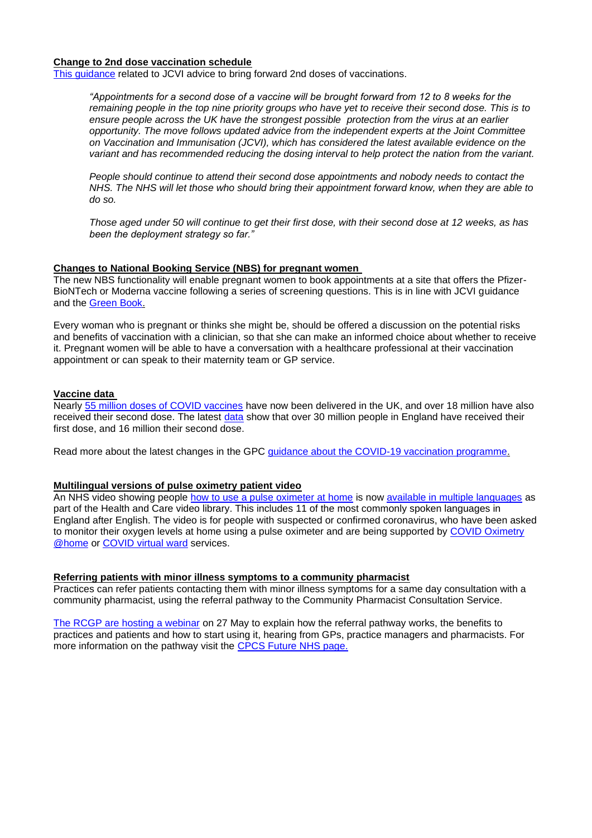#### **Change to 2nd dose vaccination schedule**

This [guidance](https://www.clevelandlmc.org.uk/website/IGP367/files/covid.pdf) related to JCVI advice to bring forward 2nd doses of vaccinations.

*"Appointments for a second dose of a vaccine will be brought forward from 12 to 8 weeks for the remaining people in the top nine priority groups who have yet to receive their second dose. This is to ensure people across the UK have the strongest possible protection from the virus at an earlier opportunity. The move follows updated advice from the independent experts at the Joint Committee on Vaccination and Immunisation (JCVI), which has considered the latest available evidence on the variant and has recommended reducing the dosing interval to help protect the nation from the variant.*

*People should continue to attend their second dose appointments and nobody needs to contact the NHS. The NHS will let those who should bring their appointment forward know, when they are able to do so.*

*Those aged under 50 will continue to get their first dose, with their second dose at 12 weeks, as has been the deployment strategy so far."*

### **Changes to National Booking Service (NBS) for pregnant women**

The new NBS functionality will enable pregnant women to book appointments at a site that offers the Pfizer-BioNTech or Moderna vaccine following a series of screening questions. This is in line with JCVI guidance and the [Green Book.](https://generalpracticebulletin.cmail19.com/t/d-l-qiddtdt-jlddotjkh-t)

Every woman who is pregnant or thinks she might be, should be offered a discussion on the potential risks and benefits of vaccination with a clinician, so that she can make an informed choice about whether to receive it. Pregnant women will be able to have a conversation with a healthcare professional at their vaccination appointment or can speak to their maternity team or GP service.

#### **Vaccine data**

Nearly [55 million doses of COVID vaccines](https://coronavirus.data.gov.uk/details/vaccinations) have now been delivered in the UK, and over 18 million have also received their second dose. The latest [data](https://www.england.nhs.uk/statistics/statistical-work-areas/covid-19-vaccinations/) show that over 30 million people in England have received their first dose, and 16 million their second dose.

Read more about the latest changes in the GPC [guidance about the COVID-19 vaccination programme.](https://www.bma.org.uk/advice-and-support/covid-19/gp-practices/covid-19-vaccination-programme)

### **Multilingual versions of pulse oximetry patient video**

An NHS video showing people [how to use a pulse oximeter at home](https://generalpracticebulletin.cmail19.com/t/d-l-qiidhlt-jueujdtjj-k/) is now [available in multiple languages](https://generalpracticebulletin.cmail19.com/t/d-l-qiidhlt-jueujdtjj-u/) as part of the Health and Care video library. This includes 11 of the most commonly spoken languages in England after English. The video is for people with suspected or confirmed coronavirus, who have been asked to monitor their oxygen levels at home using a pulse oximeter and are being supported by [COVID Oximetry](https://generalpracticebulletin.cmail19.com/t/d-l-qiidhlt-jueujdtjj-o/)  [@home](https://generalpracticebulletin.cmail19.com/t/d-l-qiidhlt-jueujdtjj-o/) or [COVID virtual ward](https://generalpracticebulletin.cmail19.com/t/d-l-qiidhlt-jueujdtjj-b/) services.

### **Referring patients with minor illness symptoms to a community pharmacist**

Practices can refer patients contacting them with minor illness symptoms for a same day consultation with a community pharmacist, using the referral pathway to the Community Pharmacist Consultation Service.

[The RCGP are hosting a webinar](https://generalpracticebulletin.cmail19.com/t/d-l-qiidhlt-jueujdtjj-x/) on 27 May to explain how the referral pathway works, the benefits to practices and patients and how to start using it, hearing from GPs, practice managers and pharmacists. For more information on the pathway visit the [CPCS Future NHS page.](https://generalpracticebulletin.cmail19.com/t/d-l-qiidhlt-jueujdtjj-m/)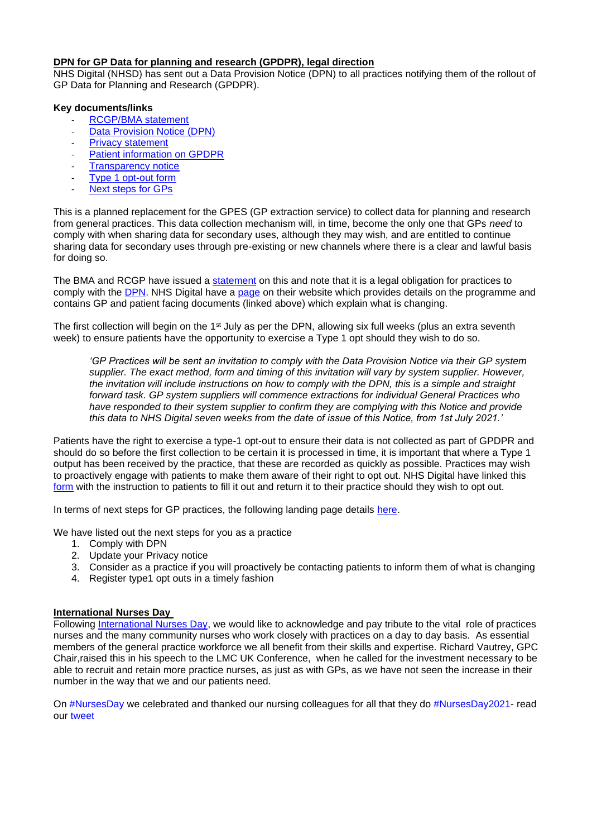# **DPN for GP Data for planning and research (GPDPR), legal direction**

NHS Digital (NHSD) has sent out a Data Provision Notice (DPN) to all practices notifying them of the rollout of GP Data for Planning and Research (GPDPR).

## **Key documents/links**

- [RCGP/BMA statement](https://www.bma.org.uk/news-and-opinion/statement-on-gp-data-for-planning-and-research)
- [Data Provision Notice \(DPN\)](https://digital.nhs.uk/binaries/content/assets/website-assets/corporate-information/directions-and-data-provision-notices/data-provision-notices/general-practice-data-for-planning-and-research-dpn-v1.0.pdf)
- [Privacy statement](https://digital.nhs.uk/data-and-information/data-collections-and-data-sets/data-collections/general-practice-data-for-planning-and-research/gp-privacy-notice)
- [Patient information on GPDPR](https://digital.nhs.uk/data-and-information/data-collections-and-data-sets/data-collections/general-practice-data-for-planning-and-research/transparency-notice)
- **[Transparency notice](https://digital.nhs.uk/data-and-information/data-collections-and-data-sets/data-collections/general-practice-data-for-planning-and-research/transparency-notice)**
- [Type 1 opt-out form](https://digital.nhs.uk/binaries/content/assets/website-assets/data-and-information/data-collections/general-practice-data-for-planning-and-research/type-1-opt-out-form.docx)
- [Next steps for GPs](https://digital.nhs.uk/data-and-information/data-collections-and-data-sets/data-collections/general-practice-data-for-planning-and-research#further-information-for-gp-practices)

This is a planned replacement for the GPES (GP extraction service) to collect data for planning and research from general practices. This data collection mechanism will, in time, become the only one that GPs *need* to comply with when sharing data for secondary uses, although they may wish, and are entitled to continue sharing data for secondary uses through pre-existing or new channels where there is a clear and lawful basis for doing so.

The BMA and RCGP have issued a [statement](https://www.bma.org.uk/news-and-opinion/statement-on-gp-data-for-planning-and-research) on this and note that it is a legal obligation for practices to comply with the [DPN.](https://digital.nhs.uk/binaries/content/assets/website-assets/corporate-information/directions-and-data-provision-notices/data-provision-notices/general-practice-data-for-planning-and-research-dpn-v1.0.pdf) NHS Digital have a [page](https://digital.nhs.uk/about-nhs-digital/corporate-information-and-documents/directions-and-data-provision-notices/data-provision-notices-dpns/general-practice-data-for-planning-and-research#top) on their website which provides details on the programme and contains GP and patient facing documents (linked above) which explain what is changing.

The first collection will begin on the 1<sup>st</sup> July as per the DPN, allowing six full weeks (plus an extra seventh week) to ensure patients have the opportunity to exercise a Type 1 opt should they wish to do so.

*'GP Practices will be sent an invitation to comply with the Data Provision Notice via their GP system supplier. The exact method, form and timing of this invitation will vary by system supplier. However, the invitation will include instructions on how to comply with the DPN, this is a simple and straight forward task. GP system suppliers will commence extractions for individual General Practices who have responded to their system supplier to confirm they are complying with this Notice and provide this data to NHS Digital seven weeks from the date of issue of this Notice, from 1st July 2021.'*

Patients have the right to exercise a type-1 opt-out to ensure their data is not collected as part of GPDPR and should do so before the first collection to be certain it is processed in time, it is important that where a Type 1 output has been received by the practice, that these are recorded as quickly as possible. Practices may wish to proactively engage with patients to make them aware of their right to opt out. NHS Digital have linked this [form](https://digital.nhs.uk/binaries/content/assets/website-assets/data-and-information/data-collections/general-practice-data-for-planning-and-research/type-1-opt-out-form.docx) with the instruction to patients to fill it out and return it to their practice should they wish to opt out.

In terms of next steps for GP practices, the following landing page details [here.](https://digital.nhs.uk/data-and-information/data-collections-and-data-sets/data-collections/general-practice-data-for-planning-and-research#further-information-for-gp-practices)

We have listed out the next steps for you as a practice

- 1. Comply with DPN
- 2. Update your Privacy notice
- 3. Consider as a practice if you will proactively be contacting patients to inform them of what is changing
- 4. Register type1 opt outs in a timely fashion

## **International Nurses Day**

Following [International Nurses Day,](https://www.rcn.org.uk/get-involved/campaign-with-us/nurses-day) we would like to acknowledge and pay tribute to the vital role of practices nurses and the many community nurses who work closely with practices on a day to day basis. As essential members of the general practice workforce we all benefit from their skills and expertise. Richard Vautrey, GPC Chair,raised this in his speech to the LMC UK Conference, when he called for the investment necessary to be able to recruit and retain more practice nurses, as just as with GPs, as we have not seen the increase in their number in the way that we and our patients need.

On [#NursesDay](https://twitter.com/hashtag/NursesDay?src=hashtag_click) we celebrated and thanked our nursing colleagues for all that they do [#NursesDay2021-](https://twitter.com/hashtag/NursesDay2021?src=hashtag_click) read our [tweet](https://twitter.com/TheBMA/status/1392410472826146818)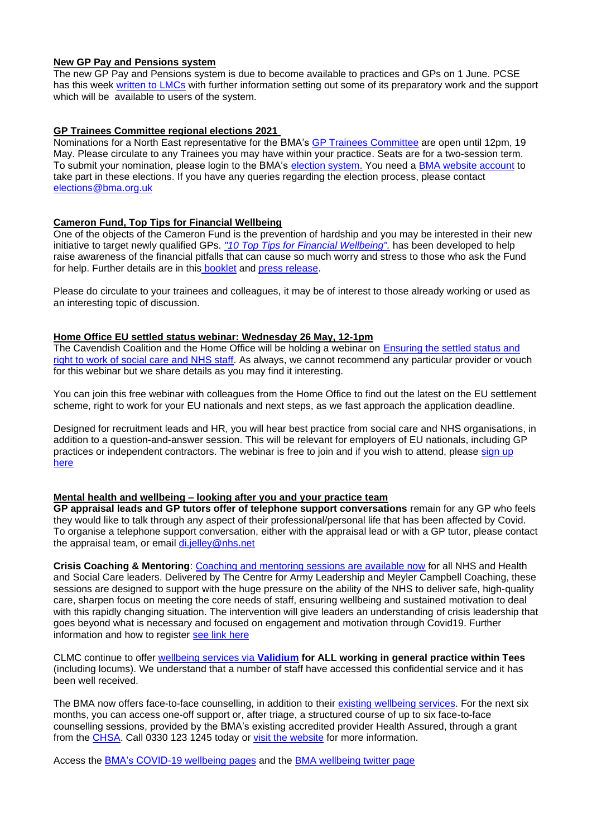# **New GP Pay and Pensions system**

The new GP Pay and Pensions system is due to become available to practices and GPs on 1 June. PCSE has this week [written to LMCs](https://pcsengland.co.uk/rv/ff0079677a9257399158168ee84e9b6f7f0df266) with further information setting out some of its preparatory work and the support which will be available to users of the system.

### **GP Trainees Committee regional elections 2021**

Nominations for a North East representative for the BMA's [GP Trainees Committee](https://www.bma.org.uk/what-we-do/committees/general-practitioners-committee/gp-trainees-committee) are open until 12pm, 19 May. Please circulate to any Trainees you may have within your practice. Seats are for a two-session term. To submit your nomination, please login to the BMA's [election system.](https://elections.bma.org.uk/) You need a [BMA website account](https://www.bma.org.uk/about-us/about-the-bma/bma-website/bma-website-help) to take part in these elections. If you have any queries regarding the election process, please contact [elections@bma.org.uk](mailto:elections@bma.org.uk)

#### **Cameron Fund, Top Tips for Financial Wellbeing**

One of the objects of the Cameron Fund is the prevention of hardship and you may be interested in their new initiative to target newly qualified GPs. *["10 Top Tips for Financial Wellbeing".](https://www.cameronfund.org.uk/media/1305/10-top-tips-for-financial-wellbeing-apr21.pdf)* has been developed to help raise awareness of the financial pitfalls that can cause so much worry and stress to those who ask the Fund for help. Further details are in this [booklet](https://www.clevelandlmc.org.uk/website/IGP367/files/cameron.pdf) and [press release.](https://www.clevelandlmc.org.uk/website/IGP367/files/cf.pdf)

Please do circulate to your trainees and colleagues, it may be of interest to those already working or used as an interesting topic of discussion.

## **Home Office EU settled status webinar: Wednesday 26 May, 12-1pm**

The Cavendish Coalition and the Home Office will be holding a webinar on [Ensuring the settled status and](https://www.nhsemployers.org/events/2021/05/ensuring-the-settled-status-and-right-to-work-of-social-care-and-nhs-staff)  [right to work of social care and NHS staff.](https://www.nhsemployers.org/events/2021/05/ensuring-the-settled-status-and-right-to-work-of-social-care-and-nhs-staff) As always, we cannot recommend any particular provider or vouch for this webinar but we share details as you may find it interesting.

You can join this free webinar with colleagues from the Home Office to find out the latest on the EU settlement scheme, right to work for your EU nationals and next steps, as we fast approach the application deadline.

Designed for recruitment leads and HR, you will hear best practice from social care and NHS organisations, in addition to a question-and-answer session. This will be relevant for employers of EU nationals, including GP practices or independent contractors. The webinar is free to join and if you wish to attend, please [sign up](https://www.nhsemployers.org/events/2021/05/ensuring-the-settled-status-and-right-to-work-of-social-care-and-nhs-staff)  [here](https://www.nhsemployers.org/events/2021/05/ensuring-the-settled-status-and-right-to-work-of-social-care-and-nhs-staff)

#### **Mental health and wellbeing – looking after you and your practice team**

**GP appraisal leads and GP tutors offer of telephone support conversations** remain for any GP who feels they would like to talk through any aspect of their professional/personal life that has been affected by Covid. To organise a telephone support conversation, either with the appraisal lead or with a GP tutor, please contact the appraisal team, or email [di.jelley@nhs.net](mailto:di.jelley@nhs.net)

**Crisis Coaching & Mentoring**: [Coaching and mentoring sessions are available now](https://people.nhs.uk/support-for-leaders/coaching-and-mentoring-for-leaders/) for all NHS and Health and Social Care leaders. Delivered by The Centre for Army Leadership and Meyler Campbell Coaching, these sessions are designed to support with the huge pressure on the ability of the NHS to deliver safe, high-quality care, sharpen focus on meeting the core needs of staff, ensuring wellbeing and sustained motivation to deal with this rapidly changing situation. The intervention will give leaders an understanding of crisis leadership that goes beyond what is necessary and focused on engagement and motivation through Covid19. Further information and how to register [see link](https://people.nhs.uk/support-for-leaders/coaching-and-mentoring-for-leaders/) here

CLMC continue to offer [wellbeing services via](https://www.clevelandlmc.org.uk/page1.aspx?p=20&t=2) **Validium for ALL working in general practice within Tees** (including locums). We understand that a number of staff have accessed this confidential service and it has been well received.

The BMA now offers face-to-face counselling, in addition to their [existing wellbeing services.](https://bma-mail.org.uk/t/JVX-7CV5G-JCJOU4-4FIBPR-1/c.aspx) For the next six months, you can access one-off support or, after triage, a structured course of up to six face-to-face counselling sessions, provided by the BMA's existing accredited provider Health Assured, through a grant from the [CHSA.](https://bma-mail.org.uk/t/JVX-7CV5G-JCJOU4-4FIBPS-1/c.aspx) Call 0330 123 1245 today or [visit the website](https://bma-mail.org.uk/t/JVX-7CV5G-JCJOU4-4FIBPT-1/c.aspx) for more information.

Access the [BMA's COVID-19 wellbeing pages](https://www.bma.org.uk/advice-and-support/covid-19/your-health/covid-19-your-wellbeing) and the [BMA wellbeing twitter page](https://twitter.com/bmawellbeing?lang=en)